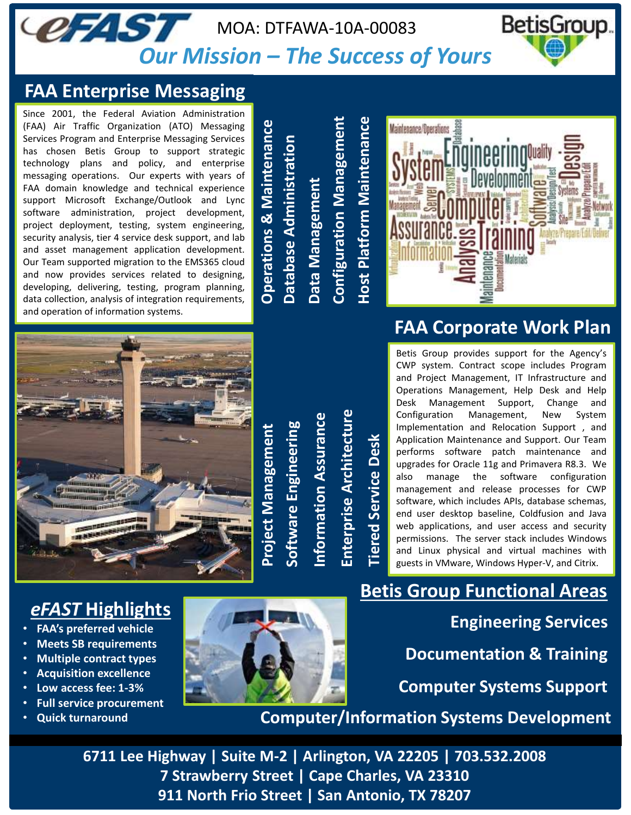#### **CFAST** BetisGroup. MOA: DTFAWA-10A-00083 *Our Mission – The Success of Yours*

#### **FAA Enterprise Messaging**

Since 2001, the Federal Aviation Administration (FAA) Air Traffic Organization (ATO) Messaging Services Program and Enterprise Messaging Services has chosen Betis Group to support strategic technology plans and policy, and enterprise messaging operations. Our experts with years of FAA domain knowledge and technical experience support Microsoft Exchange/Outlook and Lync software administration, project development, project deployment, testing, system engineering, security analysis, tier 4 service desk support, and lab and asset management application development. Our Team supported migration to the EMS365 cloud and now provides services related to designing, developing, delivering, testing, program planning, data collection, analysis of integration requirements, and operation of information systems.

1 (1170) Messaging Services<br>
<sup>1</sup> North Wassensing Services<br>
<sup>1911</sup> North Wassense of the Historical system content and the montraring architecture<br>
2 (accessories architecture) and the street of the street of the street o **Database Administration Data Management Configuration Management Host Platform Maintenance**



# **FAA Corporate Work Plan**

Betis Group provides support for the Agency's CWP system. Contract scope includes Program and Project Management, IT Infrastructure and Operations Management, Help Desk and Help Desk Management Support, Change and Configuration Management, New System Implementation and Relocation Support , and Application Maintenance and Support. Our Team performs software patch maintenance and upgrades for Oracle 11g and Primavera R8.3. We also manage the software configuration management and release processes for CWP software, which includes APIs, database schemas, end user desktop baseline, Coldfusion and Java web applications, and user access and security permissions. The server stack includes Windows and Linux physical and virtual machines with guests in VMware, Windows Hyper-V, and Citrix.

**Documentation & Training Computer/Information Systems Development Computer Systems Support Engineering Services Betis Group Functional Areas**

**6711 Lee Highway | Suite M-2 | Arlington, VA 22205 | 703.532.2008 7 Strawberry Street | Cape Charles, VA 23310** 



- **FAA's preferred vehicle**
- **Meets SB requirements**
- **Multiple contract types**
- **Acquisition excellence**
- **Low access fee: 1-3%**
- **Full service procurement**
- **Quick turnaround**



**Project Management**